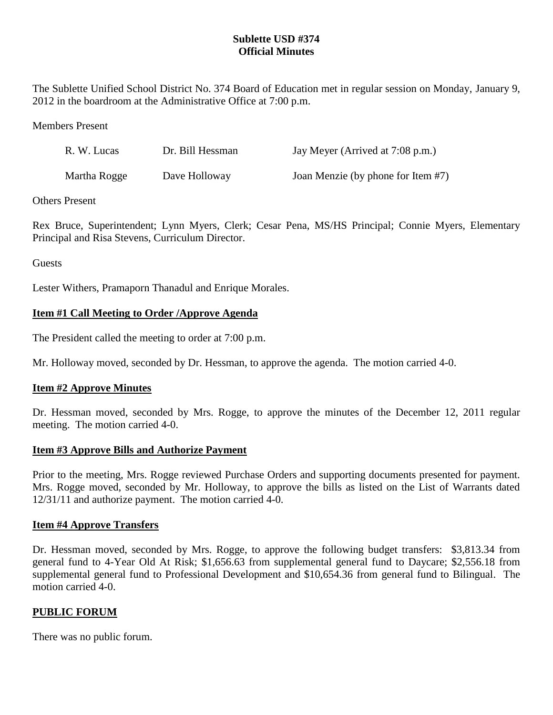## **Sublette USD #374 Official Minutes**

The Sublette Unified School District No. 374 Board of Education met in regular session on Monday, January 9, 2012 in the boardroom at the Administrative Office at 7:00 p.m.

### Members Present

| R. W. Lucas  | Dr. Bill Hessman | Jay Meyer (Arrived at 7:08 p.m.)   |
|--------------|------------------|------------------------------------|
| Martha Rogge | Dave Holloway    | Joan Menzie (by phone for Item #7) |

### Others Present

Rex Bruce, Superintendent; Lynn Myers, Clerk; Cesar Pena, MS/HS Principal; Connie Myers, Elementary Principal and Risa Stevens, Curriculum Director.

Guests

Lester Withers, Pramaporn Thanadul and Enrique Morales.

# **Item #1 Call Meeting to Order /Approve Agenda**

The President called the meeting to order at 7:00 p.m.

Mr. Holloway moved, seconded by Dr. Hessman, to approve the agenda. The motion carried 4-0.

## **Item #2 Approve Minutes**

Dr. Hessman moved, seconded by Mrs. Rogge, to approve the minutes of the December 12, 2011 regular meeting. The motion carried 4-0.

## **Item #3 Approve Bills and Authorize Payment**

Prior to the meeting, Mrs. Rogge reviewed Purchase Orders and supporting documents presented for payment. Mrs. Rogge moved, seconded by Mr. Holloway, to approve the bills as listed on the List of Warrants dated 12/31/11 and authorize payment. The motion carried 4-0.

#### **Item #4 Approve Transfers**

Dr. Hessman moved, seconded by Mrs. Rogge, to approve the following budget transfers: \$3,813.34 from general fund to 4-Year Old At Risk; \$1,656.63 from supplemental general fund to Daycare; \$2,556.18 from supplemental general fund to Professional Development and \$10,654.36 from general fund to Bilingual. The motion carried 4-0.

## **PUBLIC FORUM**

There was no public forum.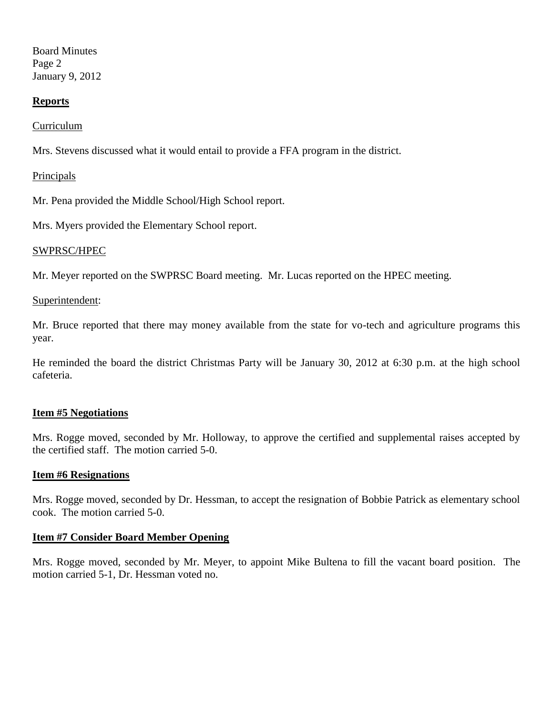Board Minutes Page 2 January 9, 2012

### **Reports**

#### Curriculum

Mrs. Stevens discussed what it would entail to provide a FFA program in the district.

#### **Principals**

Mr. Pena provided the Middle School/High School report.

Mrs. Myers provided the Elementary School report.

#### SWPRSC/HPEC

Mr. Meyer reported on the SWPRSC Board meeting. Mr. Lucas reported on the HPEC meeting.

#### Superintendent:

Mr. Bruce reported that there may money available from the state for vo-tech and agriculture programs this year.

He reminded the board the district Christmas Party will be January 30, 2012 at 6:30 p.m. at the high school cafeteria.

#### **Item #5 Negotiations**

Mrs. Rogge moved, seconded by Mr. Holloway, to approve the certified and supplemental raises accepted by the certified staff. The motion carried 5-0.

#### **Item #6 Resignations**

Mrs. Rogge moved, seconded by Dr. Hessman, to accept the resignation of Bobbie Patrick as elementary school cook. The motion carried 5-0.

#### **Item #7 Consider Board Member Opening**

Mrs. Rogge moved, seconded by Mr. Meyer, to appoint Mike Bultena to fill the vacant board position. The motion carried 5-1, Dr. Hessman voted no.